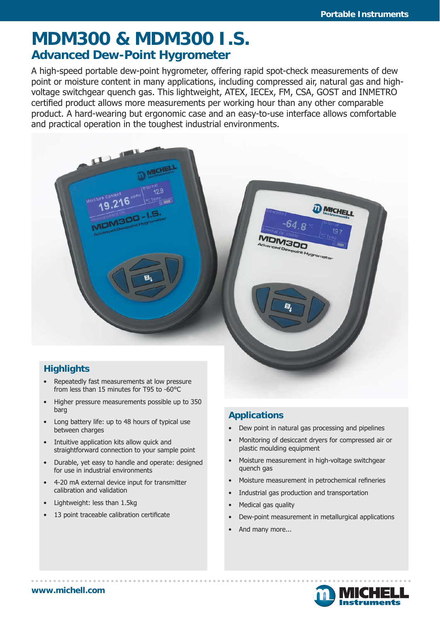# **MDM300 & MDM300 I.S. Advanced Dew-Point Hygrometer**

A high-speed portable dew-point hygrometer, offering rapid spot-check measurements of dew point or moisture content in many applications, including compressed air, natural gas and highvoltage switchgear quench gas. This lightweight, ATEX, IECEx, FM, CSA, GOST and INMETRO certified product allows more measurements per working hour than any other comparable product. A hard-wearing but ergonomic case and an easy-to-use interface allows comfortable and practical operation in the toughest industrial environments.



- Repeatedly fast measurements at low pressure from less than 15 minutes for T95 to -60°C
- Higher pressure measurements possible up to 350 barg
- Long battery life: up to 48 hours of typical use between charges
- Intuitive application kits allow quick and straightforward connection to your sample point
- Durable, yet easy to handle and operate: designed for use in industrial environments
- 4-20 mA external device input for transmitter calibration and validation
- Lightweight: less than 1.5kg
- 13 point traceable calibration certificate

#### **Applications**

- Dew point in natural gas processing and pipelines
- Monitoring of desiccant dryers for compressed air or plastic moulding equipment
- Moisture measurement in high-voltage switchgear quench gas
- Moisture measurement in petrochemical refineries
- Industrial gas production and transportation
- Medical gas quality
- Dew-point measurement in metallurgical applications
- And many more...

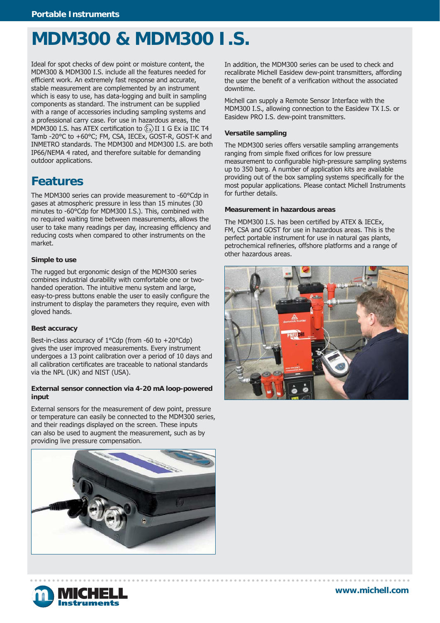# **MDM300 & MDM300 I.S.**

Ideal for spot checks of dew point or moisture content, the MDM300 & MDM300 I.S. include all the features needed for efficient work. An extremely fast response and accurate, stable measurement are complemented by an instrument which is easy to use, has data-logging and built in sampling components as standard. The instrument can be supplied with a range of accessories including sampling systems and a professional carry case. For use in hazardous areas, the MDM300 I.S. has ATEX certification to  $\langle \overline{\xi_x} \rangle$  II 1 G Ex ia IIC T4 Tamb -20°C to +60°C; FM, CSA, IECEx, GOST-R, GOST-K and INMETRO standards. The MDM300 and MDM300 I.S. are both IP66/NEMA 4 rated, and therefore suitable for demanding outdoor applications.

### **Features**

The MDM300 series can provide measurement to -60°Cdp in gases at atmospheric pressure in less than 15 minutes (30 minutes to -60°Cdp for MDM300 I.S.). This, combined with no required waiting time between measurements, allows the user to take many readings per day, increasing efficiency and reducing costs when compared to other instruments on the market.

#### **Simple to use**

The rugged but ergonomic design of the MDM300 series combines industrial durability with comfortable one or twohanded operation. The intuitive menu system and large, easy-to-press buttons enable the user to easily configure the instrument to display the parameters they require, even with gloved hands.

#### **Best accuracy**

Best-in-class accuracy of 1°Cdp (from -60 to +20°Cdp) gives the user improved measurements. Every instrument undergoes a 13 point calibration over a period of 10 days and all calibration certificates are traceable to national standards via the NPL (UK) and NIST (USA).

#### **External sensor connection via 4-20 mA loop-powered input**

External sensors for the measurement of dew point, pressure or temperature can easily be connected to the MDM300 series, and their readings displayed on the screen. These inputs can also be used to augment the measurement, such as by providing live pressure compensation.



In addition, the MDM300 series can be used to check and recalibrate Michell Easidew dew-point transmitters, affording the user the benefit of a verification without the associated downtime.

Michell can supply a Remote Sensor Interface with the MDM300 I.S., allowing connection to the Easidew TX I.S. or Easidew PRO I.S. dew-point transmitters.

#### **Versatile sampling**

The MDM300 series offers versatile sampling arrangements ranging from simple fixed orifices for low pressure measurement to configurable high-pressure sampling systems up to 350 barg. A number of application kits are available providing out of the box sampling systems specifically for the most popular applications. Please contact Michell Instruments for further details.

#### **Measurement in hazardous areas**

The MDM300 I.S. has been certified by ATEX & IECEx, FM, CSA and GOST for use in hazardous areas. This is the perfect portable instrument for use in natural gas plants, petrochemical refineries, offshore platforms and a range of other hazardous areas.



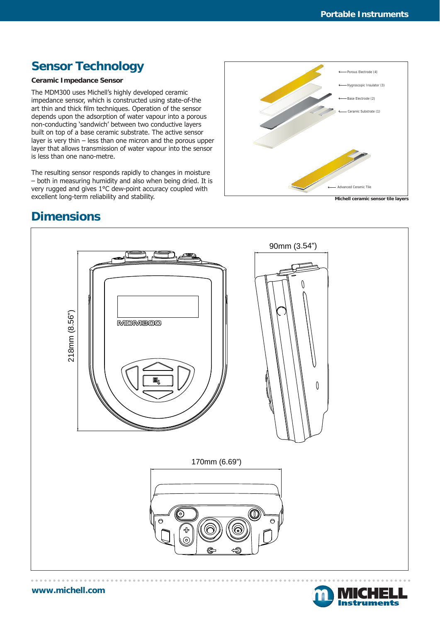### **Sensor Technology**

#### **Ceramic Impedance Sensor**

The MDM300 uses Michell's highly developed ceramic impedance sensor, which is constructed using state-of-the art thin and thick film techniques. Operation of the sensor depends upon the adsorption of water vapour into a porous non-conducting 'sandwich' between two conductive layers built on top of a base ceramic substrate. The active sensor layer is very thin – less than one micron and the porous upper layer that allows transmission of water vapour into the sensor is less than one nano-metre.

The resulting sensor responds rapidly to changes in moisture – both in measuring humidity and also when being dried. It is very rugged and gives 1°C dew-point accuracy coupled with excellent long-term reliability and stability.



**Michell ceramic sensor tile layers**

### **Dimensions**